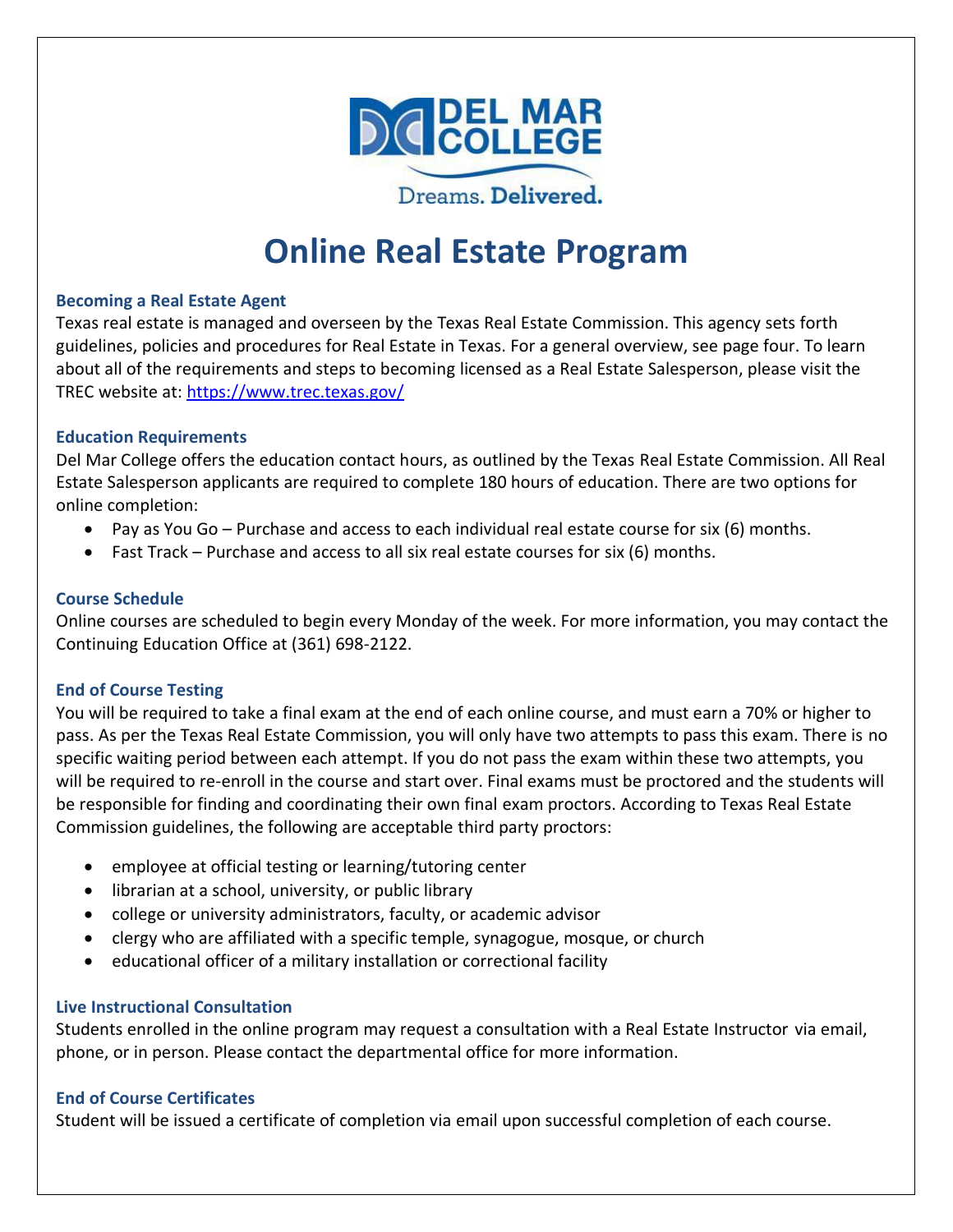

# **Online Real Estate Program**

#### **Becoming a Real Estate Agent**

Texas real estate is managed and overseen by the Texas Real Estate Commission. This agency sets forth guidelines, policies and procedures for Real Estate in Texas. For a general overview, see page four. To learn about all of the requirements and steps to becoming licensed as a Real Estate Salesperson, please visit the TREC website at:<https://www.trec.texas.gov/>

#### **Education Requirements**

Del Mar College offers the education contact hours, as outlined by the Texas Real Estate Commission. All Real Estate Salesperson applicants are required to complete 180 hours of education. There are two options for online completion:

- Pay as You Go Purchase and access to each individual real estate course for six (6) months.
- Fast Track Purchase and access to all six real estate courses for six (6) months.

#### **Course Schedule**

Online courses are scheduled to begin every Monday of the week. For more information, you may contact the Continuing Education Office at (361) 698-2122.

#### **End of Course Testing**

You will be required to take a final exam at the end of each online course, and must earn a 70% or higher to pass. As per the Texas Real Estate Commission, you will only have two attempts to pass this exam. There is no specific waiting period between each attempt. If you do not pass the exam within these two attempts, you will be required to re-enroll in the course and start over. Final exams must be proctored and the students will be responsible for finding and coordinating their own final exam proctors. According to Texas Real Estate Commission guidelines, the following are acceptable third party proctors:

- employee at official testing or learning/tutoring center
- librarian at a school, university, or public library
- college or university administrators, faculty, or academic advisor
- clergy who are affiliated with a specific temple, synagogue, mosque, or church
- educational officer of a military installation or correctional facility

#### **Live Instructional Consultation**

Students enrolled in the online program may request a consultation with a Real Estate Instructor via email, phone, or in person. Please contact the departmental office for more information.

#### **End of Course Certificates**

Student will be issued a certificate of completion via email upon successful completion of each course.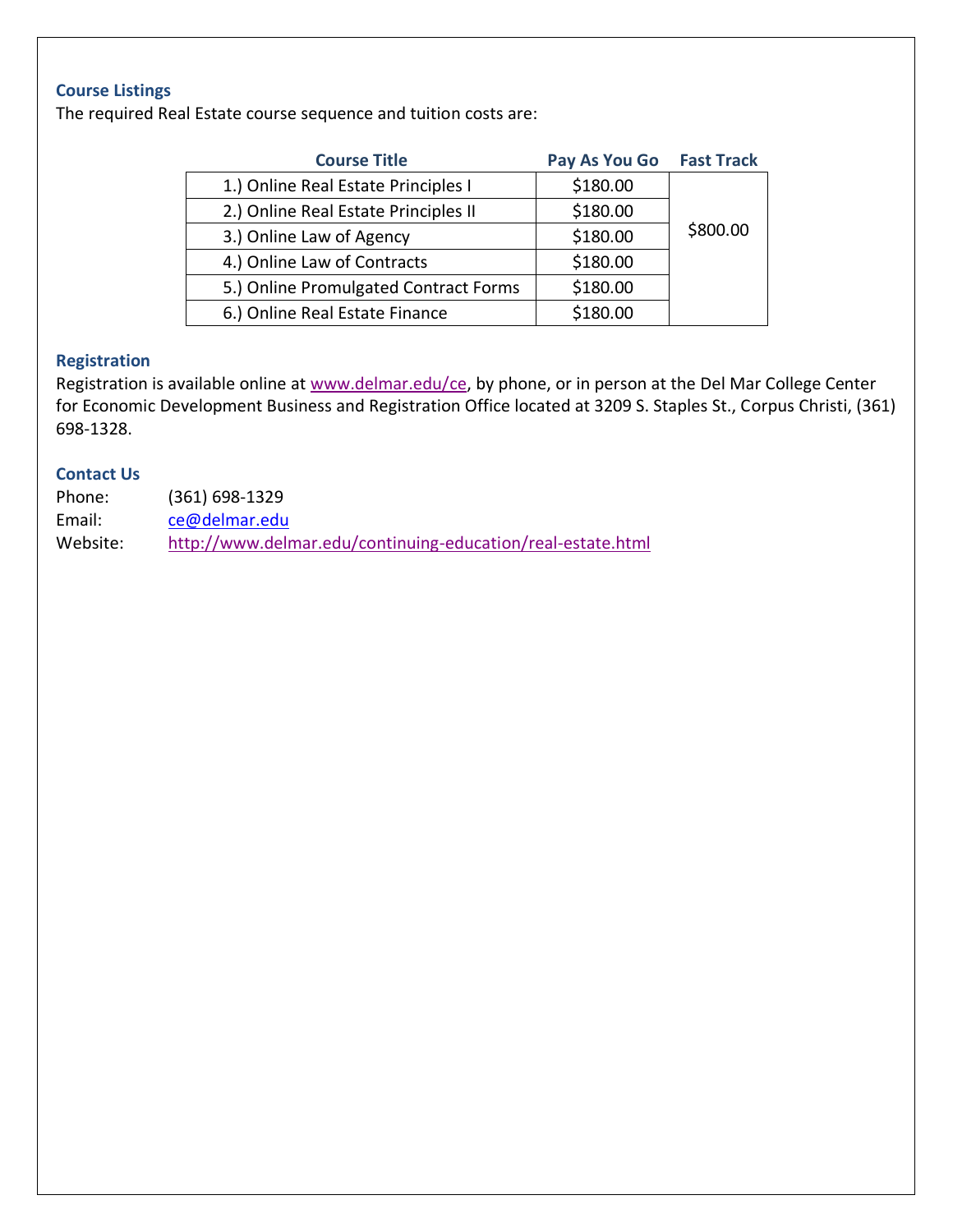# **Course Listings**

The required Real Estate course sequence and tuition costs are:

| <b>Course Title</b>                   | Pay As You Go | <b>Fast Track</b> |
|---------------------------------------|---------------|-------------------|
| 1.) Online Real Estate Principles I   | \$180.00      |                   |
| 2.) Online Real Estate Principles II  | \$180.00      |                   |
| 3.) Online Law of Agency              | \$180.00      | \$800.00          |
| 4.) Online Law of Contracts           | \$180.00      |                   |
| 5.) Online Promulgated Contract Forms | \$180.00      |                   |
| 6.) Online Real Estate Finance        | \$180.00      |                   |

# **Registration**

Registration is available online at [www.delmar.edu/ce,](http://www.delmar.edu/ce) by phone, or in person at the Del Mar College Center for Economic Development Business and Registration Office located at 3209 S. Staples St., Corpus Christi, (361) 698-1328.

#### **Contact Us**

| Phone:   | $(361)$ 698-1329                                            |
|----------|-------------------------------------------------------------|
| Email:   | ce@delmar.edu                                               |
| Website: | http://www.delmar.edu/continuing-education/real-estate.html |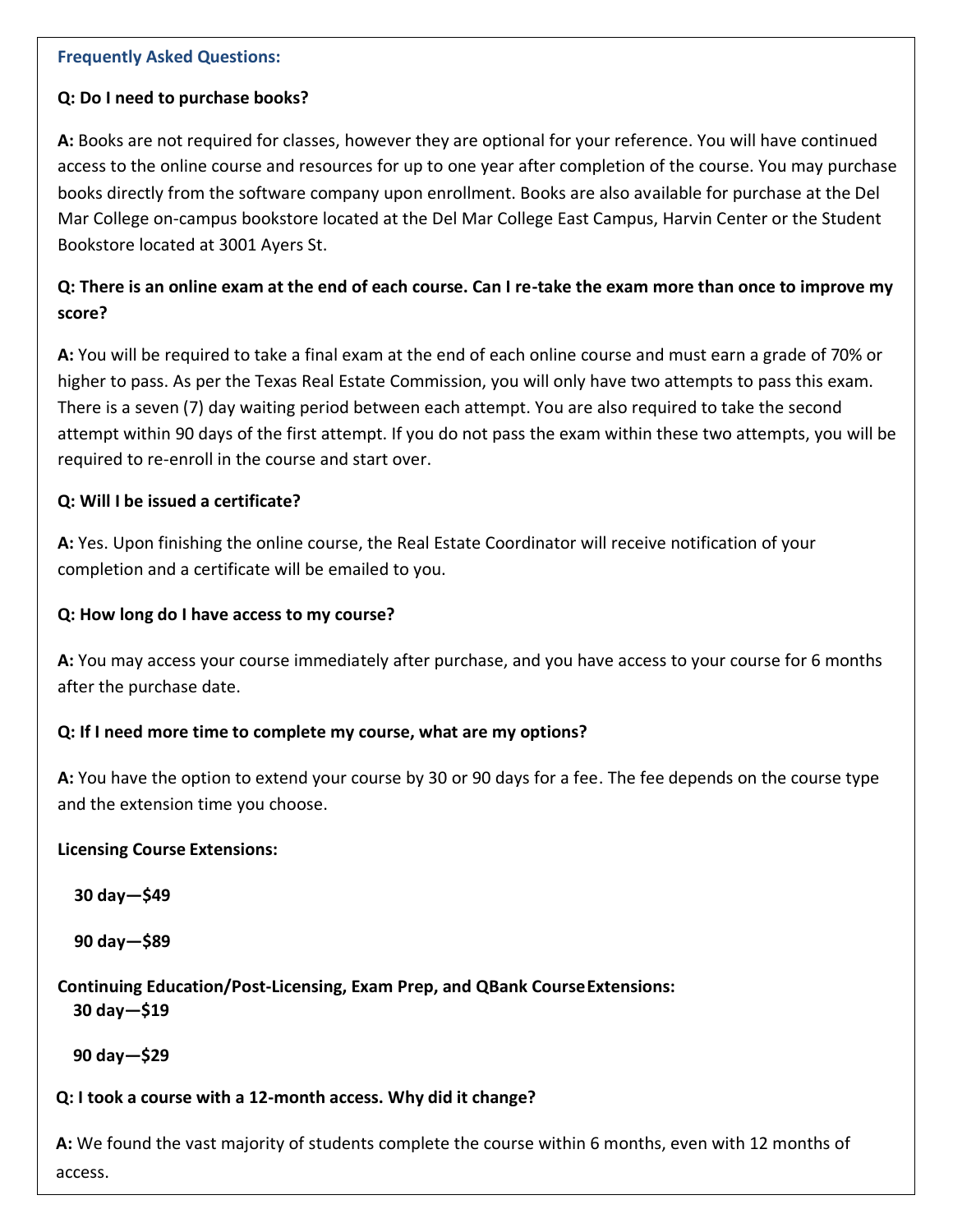#### **Frequently Asked Questions:**

### **Q: Do I need to purchase books?**

**A:** Books are not required for classes, however they are optional for your reference. You will have continued access to the online course and resources for up to one year after completion of the course. You may purchase books directly from the software company upon enrollment. Books are also available for purchase at the Del Mar College on-campus bookstore located at the Del Mar College East Campus, Harvin Center or the Student Bookstore located at 3001 Ayers St.

# **Q: There is an online exam at the end of each course. Can I re-take the exam more than once to improve my score?**

**A:** You will be required to take a final exam at the end of each online course and must earn a grade of 70% or higher to pass. As per the Texas Real Estate Commission, you will only have two attempts to pass this exam. There is a seven (7) day waiting period between each attempt. You are also required to take the second attempt within 90 days of the first attempt. If you do not pass the exam within these two attempts, you will be required to re-enroll in the course and start over.

# **Q: Will I be issued a certificate?**

**A:** Yes. Upon finishing the online course, the Real Estate Coordinator will receive notification of your completion and a certificate will be emailed to you.

## **Q: How long do I have access to my course?**

**A:** You may access your course immediately after purchase, and you have access to your course for 6 months after the purchase date.

#### **Q: If I need more time to complete my course, what are my options?**

**A:** You have the option to extend your course by 30 or 90 days for a fee. The fee depends on the course type [and the extension time you choose.](https://www.trec.texas.gov/become-licensed/sales-agent)

#### **Licensing Course Extensions:**

**30 [day](https://www.trec.texas.gov/become-licensed/individual-real-estate-broker)—\$49**

**90 day—\$89**

# **Continuing Education/Post-Licensing, Exam Prep, and QBank CourseExtensions: 30 day—\$19**

**90 day—\$29**

# **Q: I took a course with a 12-month access. Why did it change?**

**A:** We found the vast majority of students complete the course within 6 months, even with 12 months of access.